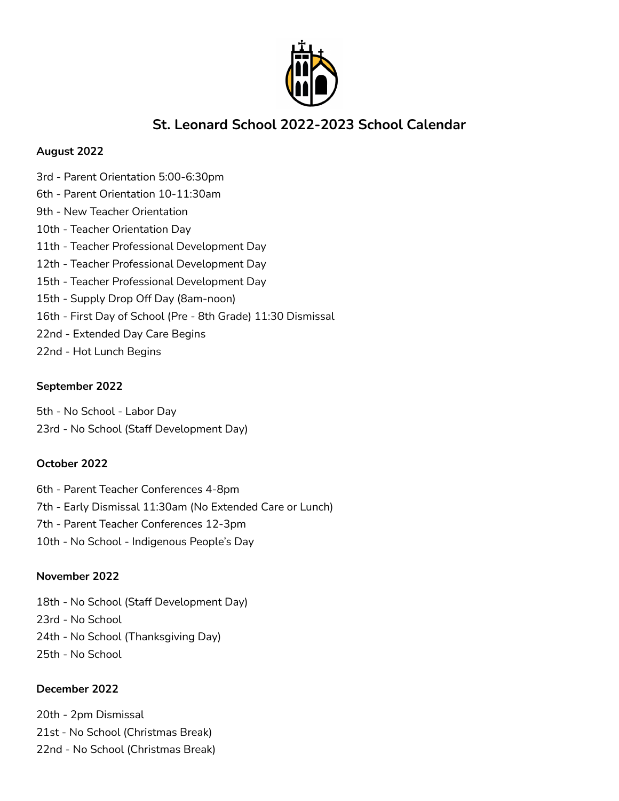

# **St. Leonard School 2022-2023 School Calendar**

### **August 2022**

3rd - Parent Orientation 5:00-6:30pm 6th - Parent Orientation 10-11:30am 9th - New Teacher Orientation 10th - Teacher Orientation Day 11th - Teacher Professional Development Day 12th - Teacher Professional Development Day 15th - Teacher Professional Development Day 15th - Supply Drop Off Day (8am-noon) 16th - First Day of School (Pre - 8th Grade) 11:30 Dismissal 22nd - Extended Day Care Begins 22nd - Hot Lunch Begins

# **September 2022**

5th - No School - Labor Day 23rd - No School (Staff Development Day)

# **October 2022**

6th - Parent Teacher Conferences 4-8pm 7th - Early Dismissal 11:30am (No Extended Care or Lunch) 7th - Parent Teacher Conferences 12-3pm 10th - No School - Indigenous People's Day

# **November 2022**

18th - No School (Staff Development Day) 23rd - No School 24th - No School (Thanksgiving Day) 25th - No School

# **December 2022**

20th - 2pm Dismissal 21st - No School (Christmas Break) 22nd - No School (Christmas Break)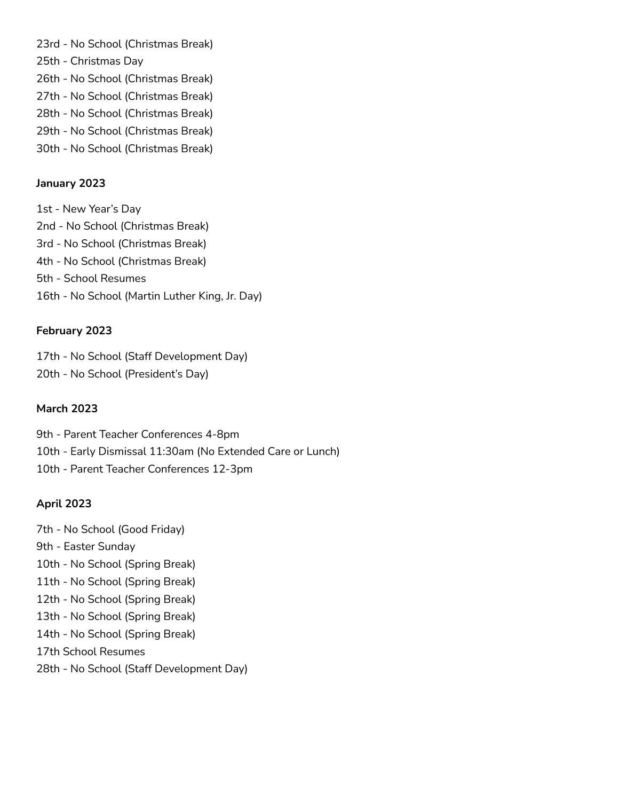23rd - No School (Christmas Break) 25th - Christmas Day 26th - No School (Christmas Break) 27th - No School (Christmas Break) 28th - No School (Christmas Break) 29th - No School (Christmas Break) 30th - No School (Christmas Break)

### **January 2023**

1st - New Year's Day 2nd - No School (Christmas Break) 3rd - No School (Christmas Break) 4th - No School (Christmas Break) 5th - School Resumes 16th - No School (Martin Luther King, Jr. Day)

### **February 2023**

17th - No School (Staff Development Day) 20th - No School (President's Day)

### **March 2023**

9th - Parent Teacher Conferences 4-8pm 10th - Early Dismissal 11:30am (No Extended Care or Lunch) 10th - Parent Teacher Conferences 12-3pm

#### **April 2023**

7th - No School (Good Friday) 9th - Easter Sunday 10th - No School (Spring Break) 11th - No School (Spring Break) 12th - No School (Spring Break) 13th - No School (Spring Break) 14th - No School (Spring Break) 17th School Resumes 28th - No School (Staff Development Day)